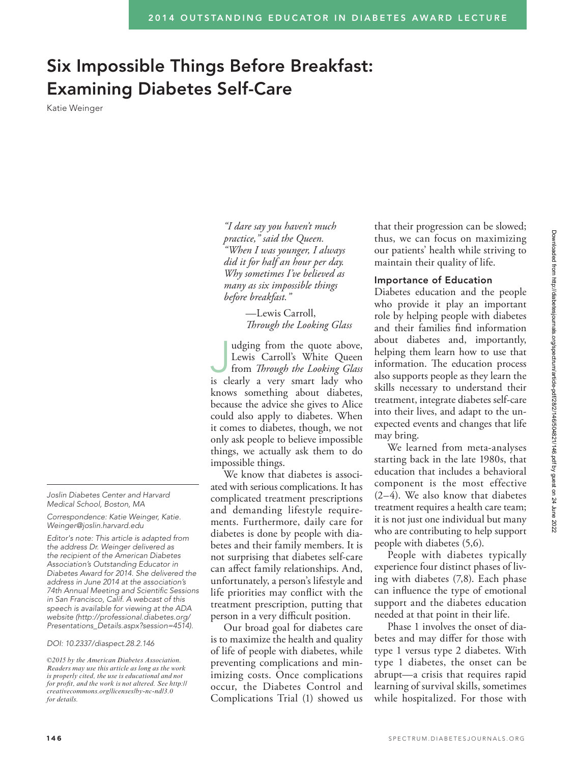# Six Impossible Things Before Breakfast: Examining Diabetes Self-Care

Katie Weinger

*"I dare say you haven't much practice," said the Queen. "When I was younger, I always did it for half an hour per day. Why sometimes I've believed as many as six impossible things before breakfast."*

> —Lewis Carroll, *Through the Looking Glass*

udging from the quote above,<br>Lewis Carroll's White Queen<br>from Through the Looking Glass<br>is clearly a very smart lady who udging from the quote above, Lewis Carroll's White Queen from *Through the Looking Glass* knows something about diabetes, because the advice she gives to Alice could also apply to diabetes. When it comes to diabetes, though, we not only ask people to believe impossible things, we actually ask them to do impossible things.

We know that diabetes is associated with serious complications. It has complicated treatment prescriptions and demanding lifestyle requirements. Furthermore, daily care for diabetes is done by people with diabetes and their family members. It is not surprising that diabetes self-care can affect family relationships. And, unfortunately, a person's lifestyle and life priorities may conflict with the treatment prescription, putting that person in a very difficult position.

Our broad goal for diabetes care is to maximize the health and quality of life of people with diabetes, while preventing complications and minimizing costs. Once complications occur, the Diabetes Control and Complications Trial (1) showed us that their progression can be slowed; thus, we can focus on maximizing our patients' health while striving to maintain their quality of life.

## Importance of Education

Diabetes education and the people who provide it play an important role by helping people with diabetes and their families find information about diabetes and, importantly, helping them learn how to use that information. The education process also supports people as they learn the skills necessary to understand their treatment, integrate diabetes self-care into their lives, and adapt to the unexpected events and changes that life may bring.

We learned from meta-analyses starting back in the late 1980s, that education that includes a behavioral component is the most effective (2–4). We also know that diabetes treatment requires a health care team; it is not just one individual but many who are contributing to help support people with diabetes (5,6).

People with diabetes typically experience four distinct phases of living with diabetes (7,8). Each phase can influence the type of emotional support and the diabetes education needed at that point in their life.

Phase 1 involves the onset of diabetes and may differ for those with type 1 versus type 2 diabetes. With type 1 diabetes, the onset can be abrupt—a crisis that requires rapid learning of survival skills, sometimes while hospitalized. For those with

*Diabetes Award for 2014. She delivered the address in June 2014 at the association's* 

*74th Annual Meeting and Scientific Sessions in San Francisco, Calif. A webcast of this speech is available for viewing at the ADA website (http://professional.diabetes.org/ Presentations\_Details.aspx?session=4514).*

*Joslin Diabetes Center and Harvard Medical School, Boston, MA*

*[Weinger@joslin.harvard.edu](mailto:Katie.Weinger@joslin.harvard.edu)*

*Correspondence: Katie Weinger, [Katie.](mailto:Katie.Weinger@joslin.harvard.edu)*

*Editor's note: This article is adapted from the address Dr. Weinger delivered as the recipient of the American Diabetes Association's Outstanding Educator in* 

#### *DOI: 10.2337/diaspect.28.2.146*

*<sup>©2015</sup> by the American Diabetes Association. Readers may use this article as long as the work is properly cited, the use is educational and not for profit, and the work is not altered. See http:// creativecommons.org/licenses/by-nc-nd/3.0 for details.*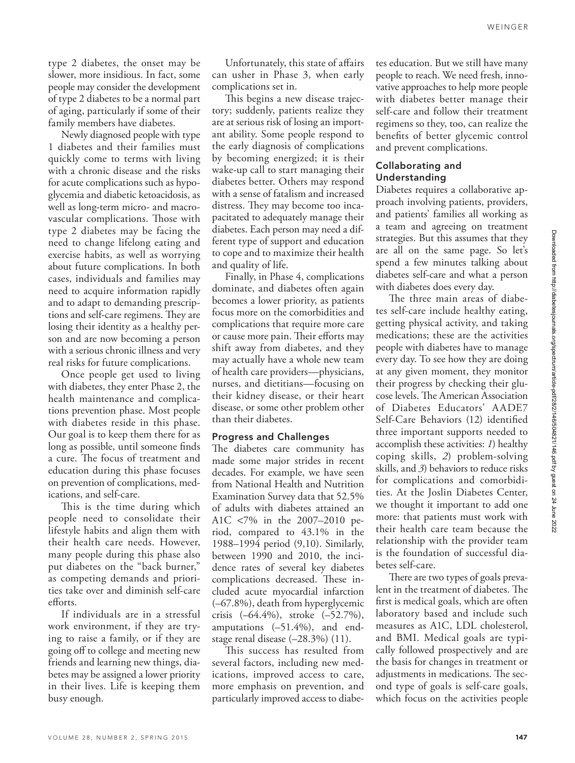type 2 diabetes, the onset may be slower, more insidious. In fact, some people may consider the development of type 2 diabetes to be a normal part of aging, particularly if some of their family members have diabetes.

Newly diagnosed people with type 1 diabetes and their families must quickly come to terms with living with a chronic disease and the risks for acute complications such as hypoglycemia and diabetic ketoacidosis, as well as long-term micro- and macrovascular complications. Those with type 2 diabetes may be facing the need to change lifelong eating and exercise habits, as well as worrying about future complications. In both cases, individuals and families may need to acquire information rapidly and to adapt to demanding prescriptions and self-care regimens. They are losing their identity as a healthy person and are now becoming a person with a serious chronic illness and very real risks for future complications.

Once people get used to living with diabetes, they enter Phase 2, the health maintenance and complications prevention phase. Most people with diabetes reside in this phase. Our goal is to keep them there for as long as possible, until someone finds a cure. The focus of treatment and education during this phase focuses on prevention of complications, medications, and self-care.

This is the time during which people need to consolidate their lifestyle habits and align them with their health care needs. However, many people during this phase also put diabetes on the "back burner," as competing demands and priorities take over and diminish self-care efforts.

If individuals are in a stressful work environment, if they are trying to raise a family, or if they are going off to college and meeting new friends and learning new things, diabetes may be assigned a lower priority in their lives. Life is keeping them busy enough.

Unfortunately, this state of affairs can usher in Phase 3, when early complications set in.

This begins a new disease trajectory; suddenly, patients realize they are at serious risk of losing an important ability. Some people respond to the early diagnosis of complications by becoming energized; it is their wake-up call to start managing their diabetes better. Others may respond with a sense of fatalism and increased distress. They may become too incapacitated to adequately manage their diabetes. Each person may need a different type of support and education to cope and to maximize their health and quality of life.

Finally, in Phase 4, complications dominate, and diabetes often again becomes a lower priority, as patients focus more on the comorbidities and complications that require more care or cause more pain. Their efforts may shift away from diabetes, and they may actually have a whole new team of health care providers—physicians, nurses, and dietitians—focusing on their kidney disease, or their heart disease, or some other problem other than their diabetes.

#### Progress and Challenges

The diabetes care community has made some major strides in recent decades. For example, we have seen from National Health and Nutrition Examination Survey data that 52.5% of adults with diabetes attained an A1C <7% in the 2007–2010 period, compared to 43.1% in the 1988–1994 period (9,10). Similarly, between 1990 and 2010, the incidence rates of several key diabetes complications decreased. These included acute myocardial infarction (–67.8%), death from hyperglycemic crisis (–64.4%), stroke (–52.7%), amputations  $(-51.4\%)$ , and endstage renal disease (–28.3%) (11).

This success has resulted from several factors, including new medications, improved access to care, more emphasis on prevention, and particularly improved access to diabetes education. But we still have many people to reach. We need fresh, innovative approaches to help more people with diabetes better manage their self-care and follow their treatment regimens so they, too, can realize the benefits of better glycemic control and prevent complications.

## Collaborating and Understanding

Diabetes requires a collaborative approach involving patients, providers, and patients' families all working as a team and agreeing on treatment strategies. But this assumes that they are all on the same page. So let's spend a few minutes talking about diabetes self-care and what a person with diabetes does every day.

The three main areas of diabetes self-care include healthy eating, getting physical activity, and taking medications; these are the activities people with diabetes have to manage every day. To see how they are doing at any given moment, they monitor their progress by checking their glucose levels. The American Association of Diabetes Educators' AADE7 Self-Care Behaviors (12) identified three important supports needed to accomplish these activities: *1*) healthy coping skills, *2*) problem-solving skills, and *3*) behaviors to reduce risks for complications and comorbidities. At the Joslin Diabetes Center, we thought it important to add one more: that patients must work with their health care team because the relationship with the provider team is the foundation of successful diabetes self-care.

There are two types of goals prevalent in the treatment of diabetes. The first is medical goals, which are often laboratory based and include such measures as A1C, LDL cholesterol, and BMI. Medical goals are typically followed prospectively and are the basis for changes in treatment or adjustments in medications. The second type of goals is self-care goals, which focus on the activities people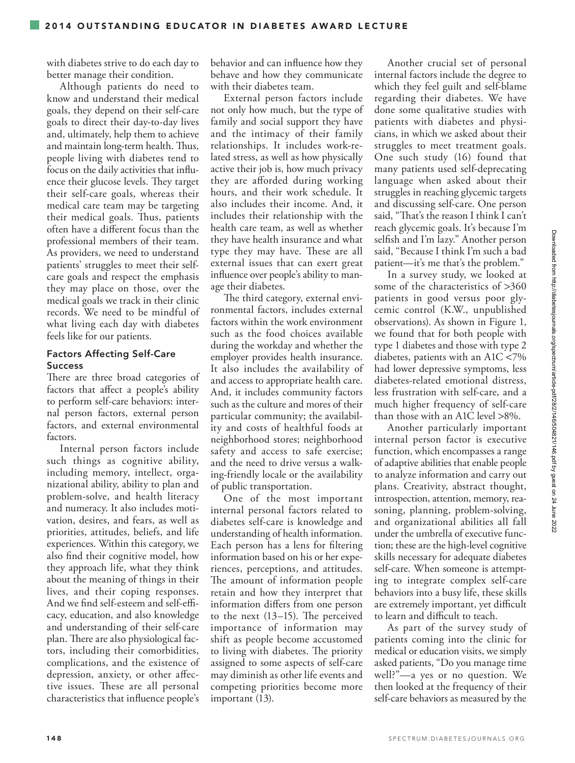with diabetes strive to do each day to better manage their condition.

Although patients do need to know and understand their medical goals, they depend on their self-care goals to direct their day-to-day lives and, ultimately, help them to achieve and maintain long-term health. Thus, people living with diabetes tend to focus on the daily activities that influence their glucose levels. They target their self-care goals, whereas their medical care team may be targeting their medical goals. Thus, patients often have a different focus than the professional members of their team. As providers, we need to understand patients' struggles to meet their selfcare goals and respect the emphasis they may place on those, over the medical goals we track in their clinic records. We need to be mindful of what living each day with diabetes feels like for our patients.

## Factors Affecting Self-Care Success

There are three broad categories of factors that affect a people's ability to perform self-care behaviors: internal person factors, external person factors, and external environmental factors.

Internal person factors include such things as cognitive ability, including memory, intellect, organizational ability, ability to plan and problem-solve, and health literacy and numeracy. It also includes motivation, desires, and fears, as well as priorities, attitudes, beliefs, and life experiences. Within this category, we also find their cognitive model, how they approach life, what they think about the meaning of things in their lives, and their coping responses. And we find self-esteem and self-efficacy, education, and also knowledge and understanding of their self-care plan. There are also physiological factors, including their comorbidities, complications, and the existence of depression, anxiety, or other affective issues. These are all personal characteristics that influence people's

behavior and can influence how they behave and how they communicate with their diabetes team.

External person factors include not only how much, but the type of family and social support they have and the intimacy of their family relationships. It includes work-related stress, as well as how physically active their job is, how much privacy they are afforded during working hours, and their work schedule. It also includes their income. And, it includes their relationship with the health care team, as well as whether they have health insurance and what type they may have. These are all external issues that can exert great influence over people's ability to manage their diabetes.

The third category, external environmental factors, includes external factors within the work environment such as the food choices available during the workday and whether the employer provides health insurance. It also includes the availability of and access to appropriate health care. And, it includes community factors such as the culture and mores of their particular community; the availability and costs of healthful foods at neighborhood stores; neighborhood safety and access to safe exercise; and the need to drive versus a walking-friendly locale or the availability of public transportation.

One of the most important internal personal factors related to diabetes self-care is knowledge and understanding of health information. Each person has a lens for filtering information based on his or her experiences, perceptions, and attitudes. The amount of information people retain and how they interpret that information differs from one person to the next (13–15). The perceived importance of information may shift as people become accustomed to living with diabetes. The priority assigned to some aspects of self-care may diminish as other life events and competing priorities become more important (13).

Another crucial set of personal internal factors include the degree to which they feel guilt and self-blame regarding their diabetes. We have done some qualitative studies with patients with diabetes and physicians, in which we asked about their struggles to meet treatment goals. One such study (16) found that many patients used self-deprecating language when asked about their struggles in reaching glycemic targets and discussing self-care. One person said, "That's the reason I think I can't reach glycemic goals. It's because I'm selfish and I'm lazy." Another person said, "Because I think I'm such a bad patient—it's me that's the problem."

In a survey study, we looked at some of the characteristics of >360 patients in good versus poor glycemic control (K.W., unpublished observations). As shown in Figure 1, we found that for both people with type 1 diabetes and those with type 2 diabetes, patients with an A1C <7% had lower depressive symptoms, less diabetes-related emotional distress, less frustration with self-care, and a much higher frequency of self-care than those with an A1C level >8%.

Another particularly important internal person factor is executive function, which encompasses a range of adaptive abilities that enable people to analyze information and carry out plans. Creativity, abstract thought, introspection, attention, memory, reasoning, planning, problem-solving, and organizational abilities all fall under the umbrella of executive function; these are the high-level cognitive skills necessary for adequate diabetes self-care. When someone is attempting to integrate complex self-care behaviors into a busy life, these skills are extremely important, yet difficult to learn and difficult to teach.

As part of the survey study of patients coming into the clinic for medical or education visits, we simply asked patients, "Do you manage time well?"—a yes or no question. We then looked at the frequency of their self-care behaviors as measured by the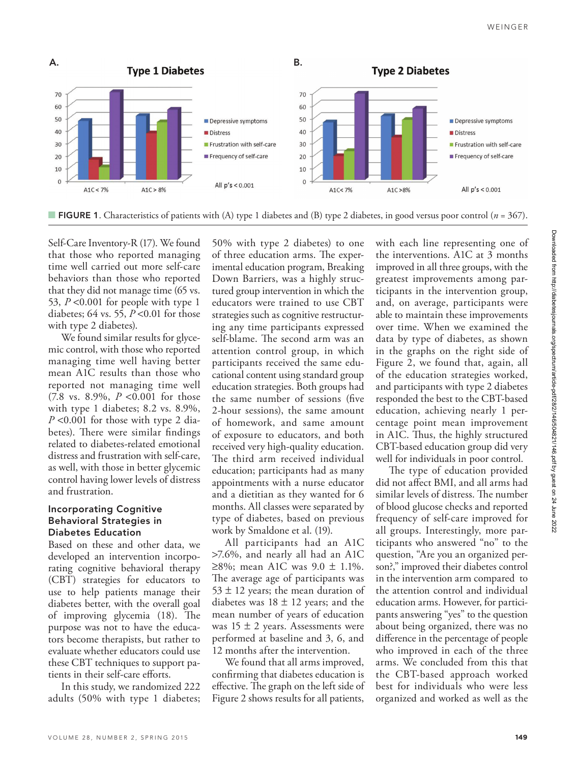

■ FIGURE 1. Characteristics of patients with (A) type 1 diabetes and (B) type 2 diabetes, in good versus poor control (*n* = 367).

Self-Care Inventory-R (17). We found that those who reported managing time well carried out more self-care behaviors than those who reported that they did not manage time (65 vs. 53, *P* <0.001 for people with type 1 diabetes; 64 vs. 55, *P* <0.01 for those with type 2 diabetes).

We found similar results for glycemic control, with those who reported managing time well having better mean A1C results than those who reported not managing time well (7.8 vs. 8.9%, *P* <0.001 for those with type 1 diabetes; 8.2 vs. 8.9%, *P* <0.001 for those with type 2 diabetes). There were similar findings related to diabetes-related emotional distress and frustration with self-care, as well, with those in better glycemic control having lower levels of distress and frustration.

### Incorporating Cognitive Behavioral Strategies in Diabetes Education

Based on these and other data, we developed an intervention incorporating cognitive behavioral therapy (CBT) strategies for educators to use to help patients manage their diabetes better, with the overall goal of improving glycemia (18). The purpose was not to have the educators become therapists, but rather to evaluate whether educators could use these CBT techniques to support patients in their self-care efforts.

In this study, we randomized 222 adults (50% with type 1 diabetes; 50% with type 2 diabetes) to one of three education arms. The experimental education program, Breaking Down Barriers, was a highly structured group intervention in which the educators were trained to use CBT strategies such as cognitive restructuring any time participants expressed self-blame. The second arm was an attention control group, in which participants received the same educational content using standard group education strategies. Both groups had the same number of sessions (five 2-hour sessions), the same amount of homework, and same amount of exposure to educators, and both received very high-quality education. The third arm received individual education; participants had as many appointments with a nurse educator and a dietitian as they wanted for 6 months. All classes were separated by type of diabetes, based on previous work by Smaldone et al. (19).

All participants had an A1C >7.6%, and nearly all had an A1C ≥8%; mean A1C was  $9.0 \pm 1.1\%$ . The average age of participants was  $53 \pm 12$  years; the mean duration of diabetes was  $18 \pm 12$  years; and the mean number of years of education was  $15 \pm 2$  years. Assessments were performed at baseline and 3, 6, and 12 months after the intervention.

We found that all arms improved, confirming that diabetes education is effective. The graph on the left side of Figure 2 shows results for all patients,

with each line representing one of the interventions. A1C at 3 months improved in all three groups, with the greatest improvements among participants in the intervention group, and, on average, participants were able to maintain these improvements over time. When we examined the data by type of diabetes, as shown in the graphs on the right side of Figure 2, we found that, again, all of the education strategies worked, and participants with type 2 diabetes responded the best to the CBT-based education, achieving nearly 1 percentage point mean improvement in A1C. Thus, the highly structured CBT-based education group did very well for individuals in poor control.

The type of education provided did not affect BMI, and all arms had similar levels of distress. The number of blood glucose checks and reported frequency of self-care improved for all groups. Interestingly, more participants who answered "no" to the question, "Are you an organized person?," improved their diabetes control in the intervention arm compared to the attention control and individual education arms. However, for participants answering "yes" to the question about being organized, there was no difference in the percentage of people who improved in each of the three arms. We concluded from this that the CBT-based approach worked best for individuals who were less organized and worked as well as the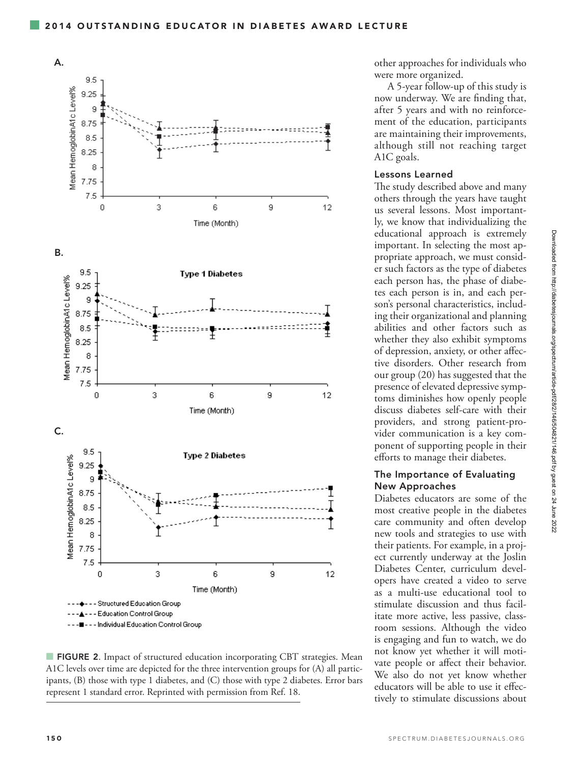

**E** FIGURE 2. Impact of structured education incorporating CBT strategies. Mean A1C levels over time are depicted for the three intervention groups for (A) all participants, (B) those with type 1 diabetes, and (C) those with type 2 diabetes. Error bars represent 1 standard error. Reprinted with permission from Ref. 18.

other approaches for individuals who were more organized.

A 5-year follow-up of this study is now underway. We are finding that, after 5 years and with no reinforcement of the education, participants are maintaining their improvements, although still not reaching target A1C goals.

### Lessons Learned

The study described above and many others through the years have taught us several lessons. Most importantly, we know that individualizing the educational approach is extremely important. In selecting the most appropriate approach, we must consider such factors as the type of diabetes each person has, the phase of diabetes each person is in, and each person's personal characteristics, including their organizational and planning abilities and other factors such as whether they also exhibit symptoms of depression, anxiety, or other affective disorders. Other research from our group (20) has suggested that the presence of elevated depressive symptoms diminishes how openly people discuss diabetes self-care with their providers, and strong patient-provider communication is a key component of supporting people in their efforts to manage their diabetes.

### The Importance of Evaluating New Approaches

Diabetes educators are some of the most creative people in the diabetes care community and often develop new tools and strategies to use with their patients. For example, in a project currently underway at the Joslin Diabetes Center, curriculum developers have created a video to serve as a multi-use educational tool to stimulate discussion and thus facilitate more active, less passive, classroom sessions. Although the video is engaging and fun to watch, we do not know yet whether it will motivate people or affect their behavior. We also do not yet know whether educators will be able to use it effectively to stimulate discussions about